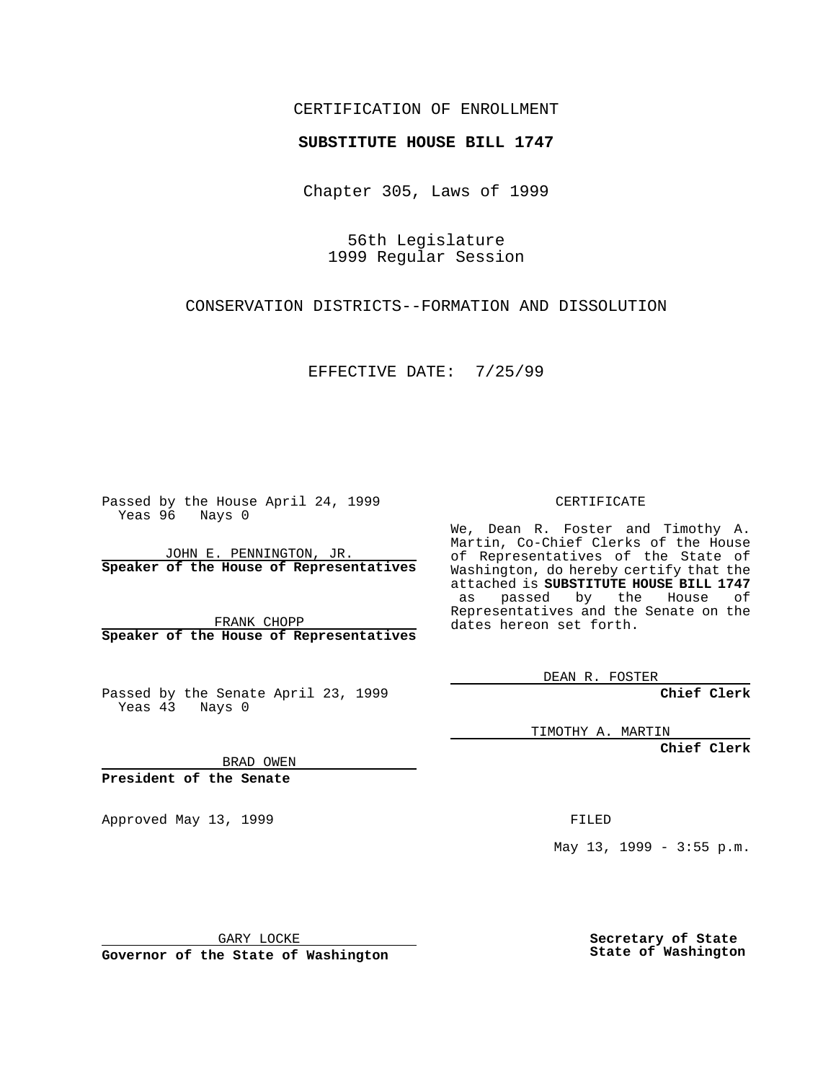### CERTIFICATION OF ENROLLMENT

# **SUBSTITUTE HOUSE BILL 1747**

Chapter 305, Laws of 1999

56th Legislature 1999 Regular Session

CONSERVATION DISTRICTS--FORMATION AND DISSOLUTION

EFFECTIVE DATE: 7/25/99

Passed by the House April 24, 1999 Yeas 96 Nays 0

JOHN E. PENNINGTON, JR. **Speaker of the House of Representatives**

FRANK CHOPP **Speaker of the House of Representatives**

Passed by the Senate April 23, 1999 Yeas 43 Nays 0

CERTIFICATE

We, Dean R. Foster and Timothy A. Martin, Co-Chief Clerks of the House of Representatives of the State of Washington, do hereby certify that the attached is **SUBSTITUTE HOUSE BILL 1747** as passed by the House of Representatives and the Senate on the dates hereon set forth.

DEAN R. FOSTER

**Chief Clerk**

TIMOTHY A. MARTIN

**Chief Clerk**

BRAD OWEN

**President of the Senate**

Approved May 13, 1999 **FILED** 

May 13, 1999 - 3:55 p.m.

GARY LOCKE

**Governor of the State of Washington**

**Secretary of State State of Washington**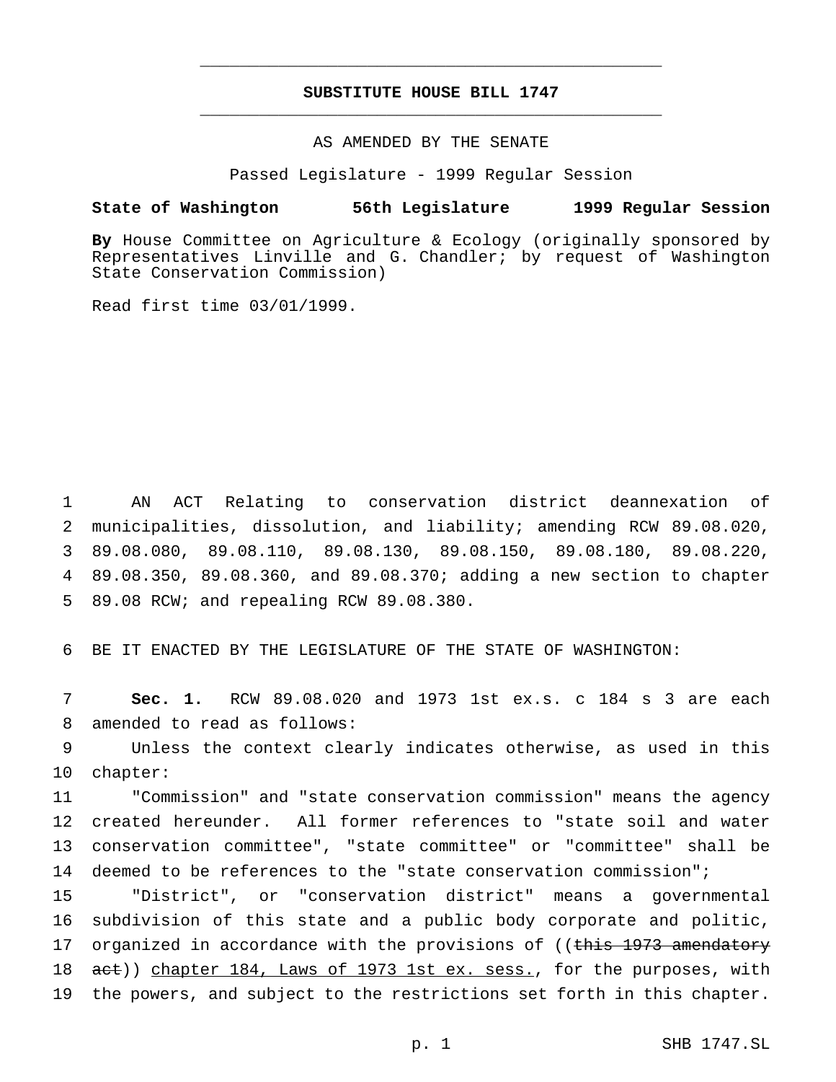## **SUBSTITUTE HOUSE BILL 1747** \_\_\_\_\_\_\_\_\_\_\_\_\_\_\_\_\_\_\_\_\_\_\_\_\_\_\_\_\_\_\_\_\_\_\_\_\_\_\_\_\_\_\_\_\_\_\_

\_\_\_\_\_\_\_\_\_\_\_\_\_\_\_\_\_\_\_\_\_\_\_\_\_\_\_\_\_\_\_\_\_\_\_\_\_\_\_\_\_\_\_\_\_\_\_

#### AS AMENDED BY THE SENATE

Passed Legislature - 1999 Regular Session

#### **State of Washington 56th Legislature 1999 Regular Session**

**By** House Committee on Agriculture & Ecology (originally sponsored by Representatives Linville and G. Chandler; by request of Washington State Conservation Commission)

Read first time 03/01/1999.

 AN ACT Relating to conservation district deannexation of municipalities, dissolution, and liability; amending RCW 89.08.020, 89.08.080, 89.08.110, 89.08.130, 89.08.150, 89.08.180, 89.08.220, 89.08.350, 89.08.360, and 89.08.370; adding a new section to chapter 89.08 RCW; and repealing RCW 89.08.380.

6 BE IT ENACTED BY THE LEGISLATURE OF THE STATE OF WASHINGTON:

7 **Sec. 1.** RCW 89.08.020 and 1973 1st ex.s. c 184 s 3 are each 8 amended to read as follows:

9 Unless the context clearly indicates otherwise, as used in this 10 chapter:

 "Commission" and "state conservation commission" means the agency created hereunder. All former references to "state soil and water conservation committee", "state committee" or "committee" shall be deemed to be references to the "state conservation commission";

15 "District", or "conservation district" means a governmental 16 subdivision of this state and a public body corporate and politic, 17 organized in accordance with the provisions of ((this 1973 amendatory 18 act)) chapter 184, Laws of 1973 1st ex. sess., for the purposes, with 19 the powers, and subject to the restrictions set forth in this chapter.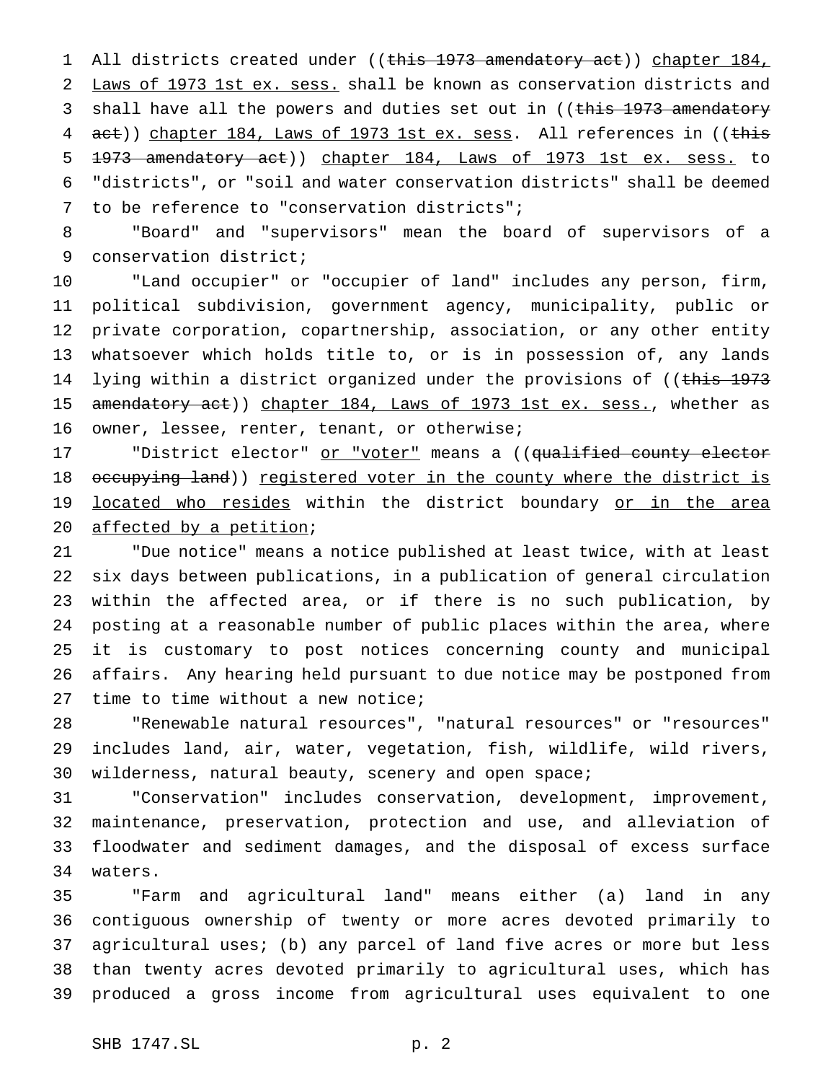1 All districts created under ((this 1973 amendatory act)) chapter 184, Laws of 1973 1st ex. sess. shall be known as conservation districts and 3 shall have all the powers and duties set out in ((this 1973 amendatory 4 act)) chapter 184, Laws of 1973 1st ex. sess. All references in ((this 1973 amendatory act)) chapter 184, Laws of 1973 1st ex. sess. to "districts", or "soil and water conservation districts" shall be deemed to be reference to "conservation districts";

 "Board" and "supervisors" mean the board of supervisors of a conservation district;

 "Land occupier" or "occupier of land" includes any person, firm, political subdivision, government agency, municipality, public or private corporation, copartnership, association, or any other entity whatsoever which holds title to, or is in possession of, any lands 14 lying within a district organized under the provisions of ((this 1973 15 amendatory act)) chapter 184, Laws of 1973 1st ex. sess., whether as owner, lessee, renter, tenant, or otherwise;

17 "District elector" or "voter" means a ((qualified county elector 18 occupying land)) registered voter in the county where the district is 19 located who resides within the district boundary or in the area 20 affected by a petition;

 "Due notice" means a notice published at least twice, with at least six days between publications, in a publication of general circulation within the affected area, or if there is no such publication, by posting at a reasonable number of public places within the area, where it is customary to post notices concerning county and municipal affairs. Any hearing held pursuant to due notice may be postponed from 27 time to time without a new notice;

 "Renewable natural resources", "natural resources" or "resources" includes land, air, water, vegetation, fish, wildlife, wild rivers, wilderness, natural beauty, scenery and open space;

 "Conservation" includes conservation, development, improvement, maintenance, preservation, protection and use, and alleviation of floodwater and sediment damages, and the disposal of excess surface waters.

 "Farm and agricultural land" means either (a) land in any contiguous ownership of twenty or more acres devoted primarily to agricultural uses; (b) any parcel of land five acres or more but less than twenty acres devoted primarily to agricultural uses, which has produced a gross income from agricultural uses equivalent to one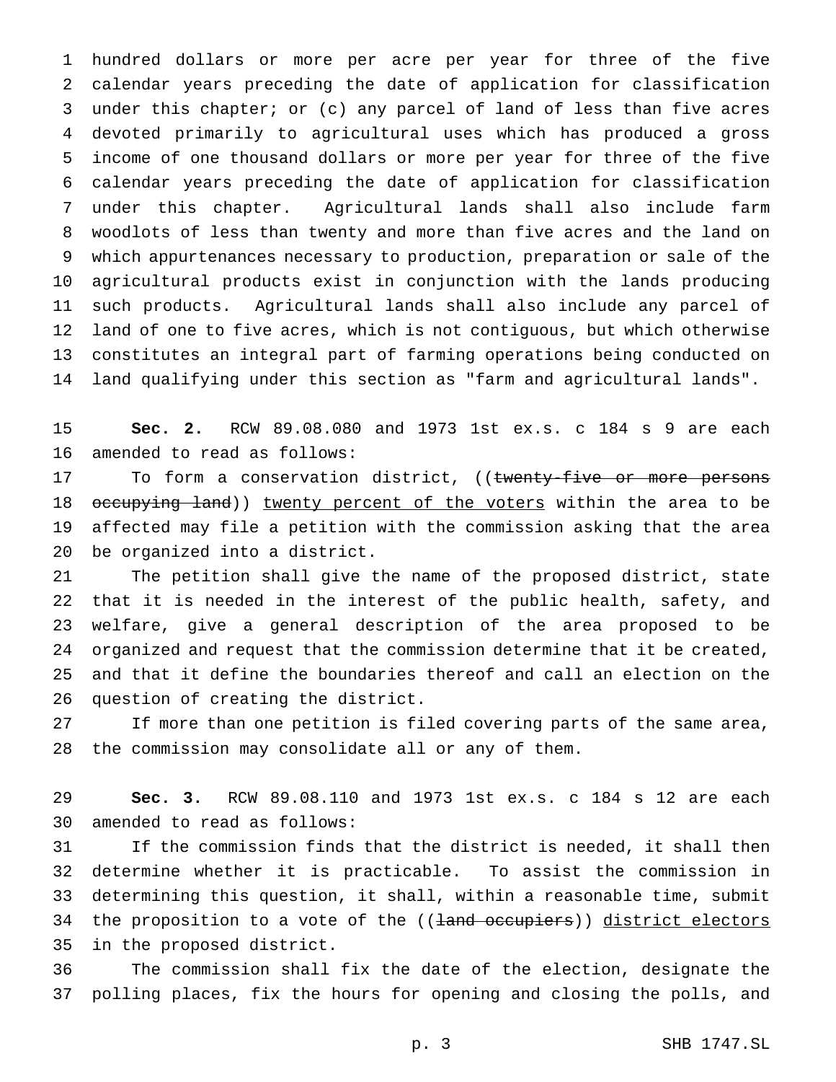hundred dollars or more per acre per year for three of the five calendar years preceding the date of application for classification under this chapter; or (c) any parcel of land of less than five acres devoted primarily to agricultural uses which has produced a gross income of one thousand dollars or more per year for three of the five calendar years preceding the date of application for classification under this chapter. Agricultural lands shall also include farm woodlots of less than twenty and more than five acres and the land on which appurtenances necessary to production, preparation or sale of the agricultural products exist in conjunction with the lands producing such products. Agricultural lands shall also include any parcel of land of one to five acres, which is not contiguous, but which otherwise constitutes an integral part of farming operations being conducted on land qualifying under this section as "farm and agricultural lands".

 **Sec. 2.** RCW 89.08.080 and 1973 1st ex.s. c 184 s 9 are each amended to read as follows:

17 To form a conservation district, ((twenty-five or more persons 18 occupying land)) twenty percent of the voters within the area to be affected may file a petition with the commission asking that the area be organized into a district.

 The petition shall give the name of the proposed district, state that it is needed in the interest of the public health, safety, and welfare, give a general description of the area proposed to be organized and request that the commission determine that it be created, and that it define the boundaries thereof and call an election on the question of creating the district.

 If more than one petition is filed covering parts of the same area, the commission may consolidate all or any of them.

 **Sec. 3.** RCW 89.08.110 and 1973 1st ex.s. c 184 s 12 are each amended to read as follows:

 If the commission finds that the district is needed, it shall then determine whether it is practicable. To assist the commission in determining this question, it shall, within a reasonable time, submit 34 the proposition to a vote of the ((<del>land occupiers</del>)) district electors in the proposed district.

 The commission shall fix the date of the election, designate the polling places, fix the hours for opening and closing the polls, and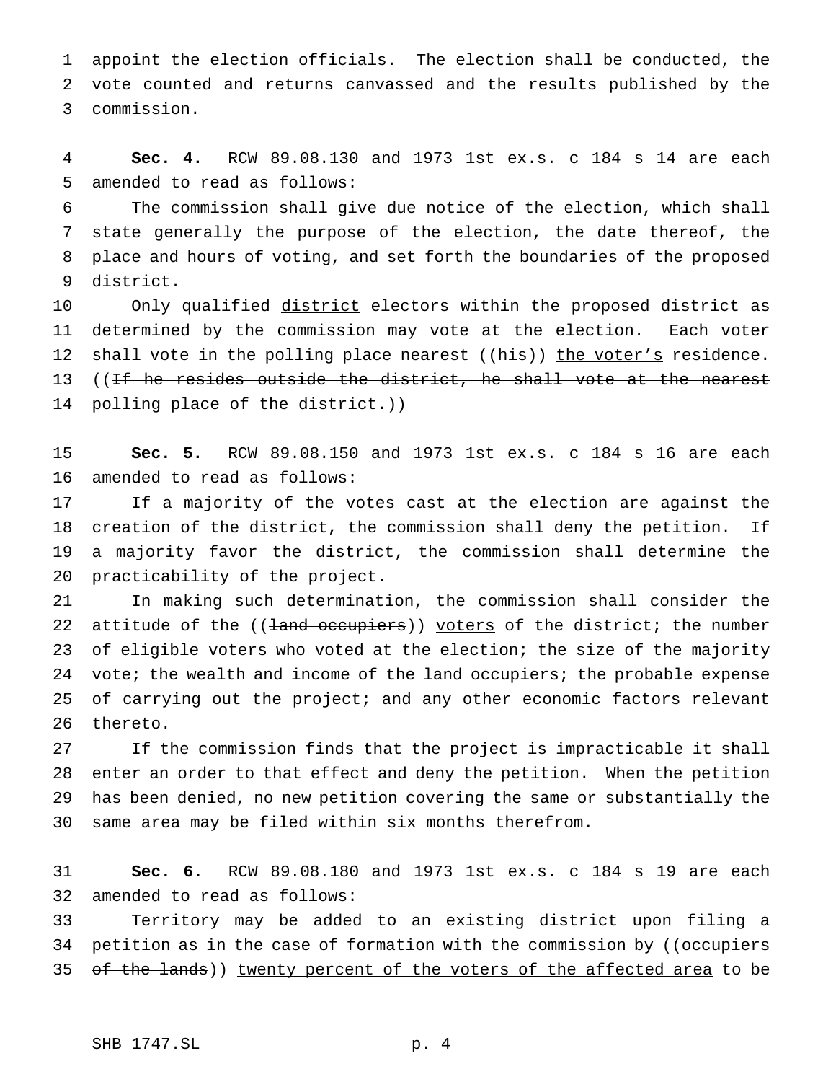appoint the election officials. The election shall be conducted, the vote counted and returns canvassed and the results published by the commission.

 **Sec. 4.** RCW 89.08.130 and 1973 1st ex.s. c 184 s 14 are each amended to read as follows:

 The commission shall give due notice of the election, which shall state generally the purpose of the election, the date thereof, the place and hours of voting, and set forth the boundaries of the proposed district.

10 Only qualified district electors within the proposed district as determined by the commission may vote at the election. Each voter 12 shall vote in the polling place nearest ((his)) the voter's residence. 13 ((<del>If he resides outside the district, he shall vote at the nearest</del> 14 polling place of the district.))

 **Sec. 5.** RCW 89.08.150 and 1973 1st ex.s. c 184 s 16 are each amended to read as follows:

 If a majority of the votes cast at the election are against the creation of the district, the commission shall deny the petition. If a majority favor the district, the commission shall determine the practicability of the project.

 In making such determination, the commission shall consider the 22 attitude of the  $((\frac{1}{2}and \overline{o}c\overline{c}u)\overline{c}u)$  voters of the district; the number of eligible voters who voted at the election; the size of the majority 24 vote; the wealth and income of the land occupiers; the probable expense 25 of carrying out the project; and any other economic factors relevant thereto.

 If the commission finds that the project is impracticable it shall enter an order to that effect and deny the petition. When the petition has been denied, no new petition covering the same or substantially the same area may be filed within six months therefrom.

 **Sec. 6.** RCW 89.08.180 and 1973 1st ex.s. c 184 s 19 are each amended to read as follows:

 Territory may be added to an existing district upon filing a 34 petition as in the case of formation with the commission by ((occupiers 35 of the lands)) twenty percent of the voters of the affected area to be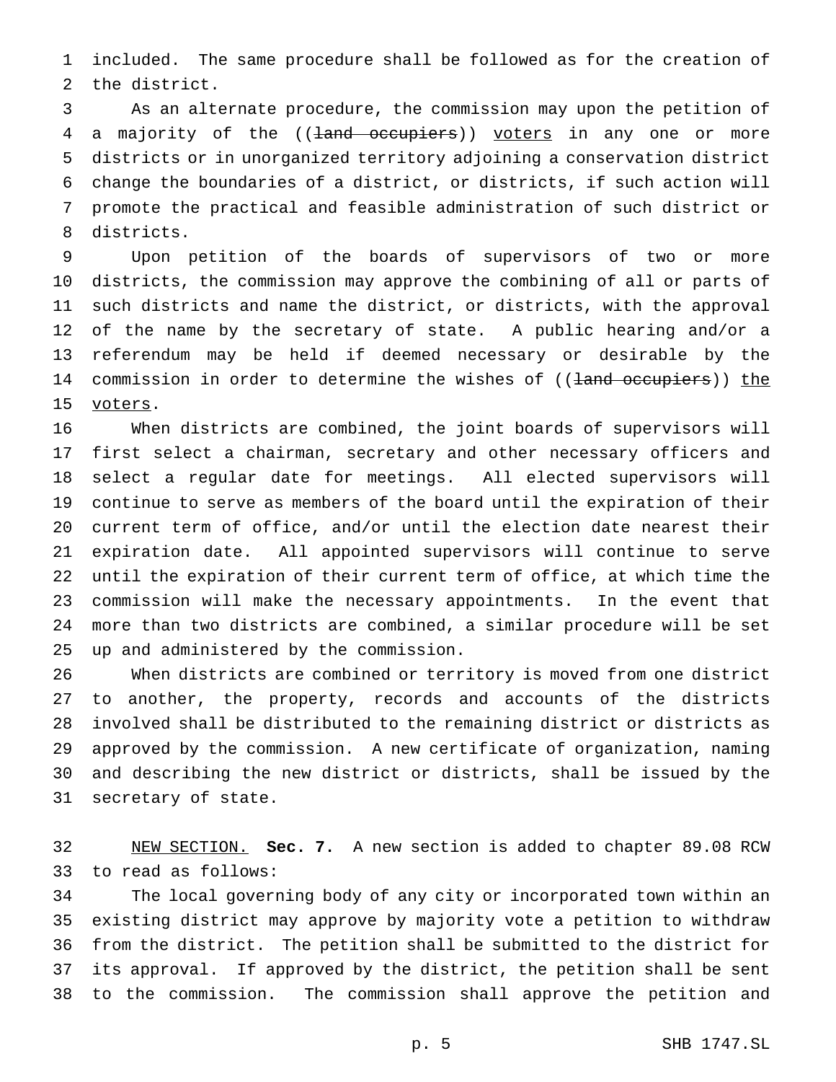included. The same procedure shall be followed as for the creation of the district.

 As an alternate procedure, the commission may upon the petition of 4 a majority of the ((land occupiers)) voters in any one or more districts or in unorganized territory adjoining a conservation district change the boundaries of a district, or districts, if such action will promote the practical and feasible administration of such district or districts.

 Upon petition of the boards of supervisors of two or more districts, the commission may approve the combining of all or parts of such districts and name the district, or districts, with the approval of the name by the secretary of state. A public hearing and/or a referendum may be held if deemed necessary or desirable by the 14 commission in order to determine the wishes of ((land occupiers)) the 15 voters.

 When districts are combined, the joint boards of supervisors will first select a chairman, secretary and other necessary officers and select a regular date for meetings. All elected supervisors will continue to serve as members of the board until the expiration of their current term of office, and/or until the election date nearest their expiration date. All appointed supervisors will continue to serve until the expiration of their current term of office, at which time the commission will make the necessary appointments. In the event that more than two districts are combined, a similar procedure will be set up and administered by the commission.

 When districts are combined or territory is moved from one district to another, the property, records and accounts of the districts involved shall be distributed to the remaining district or districts as approved by the commission. A new certificate of organization, naming and describing the new district or districts, shall be issued by the secretary of state.

 NEW SECTION. **Sec. 7.** A new section is added to chapter 89.08 RCW to read as follows:

 The local governing body of any city or incorporated town within an existing district may approve by majority vote a petition to withdraw from the district. The petition shall be submitted to the district for its approval. If approved by the district, the petition shall be sent to the commission. The commission shall approve the petition and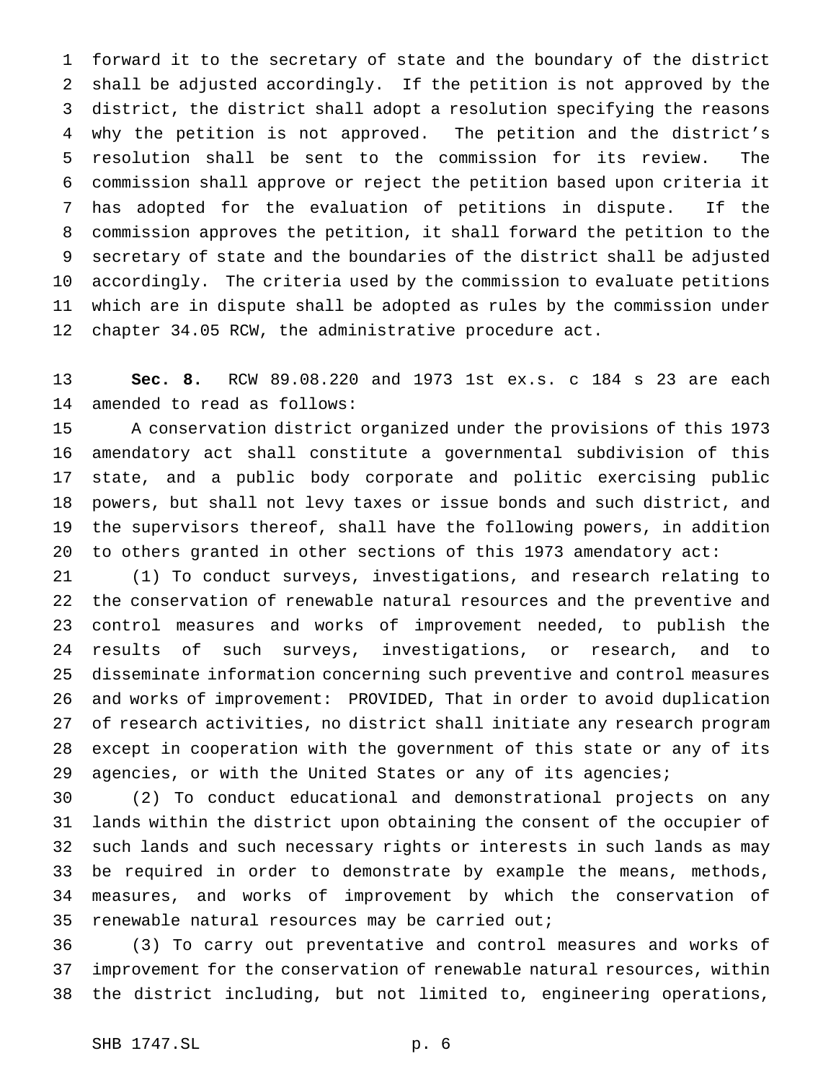forward it to the secretary of state and the boundary of the district shall be adjusted accordingly. If the petition is not approved by the district, the district shall adopt a resolution specifying the reasons why the petition is not approved. The petition and the district's resolution shall be sent to the commission for its review. The commission shall approve or reject the petition based upon criteria it has adopted for the evaluation of petitions in dispute. If the commission approves the petition, it shall forward the petition to the secretary of state and the boundaries of the district shall be adjusted accordingly. The criteria used by the commission to evaluate petitions which are in dispute shall be adopted as rules by the commission under chapter 34.05 RCW, the administrative procedure act.

 **Sec. 8.** RCW 89.08.220 and 1973 1st ex.s. c 184 s 23 are each amended to read as follows:

 A conservation district organized under the provisions of this 1973 amendatory act shall constitute a governmental subdivision of this state, and a public body corporate and politic exercising public powers, but shall not levy taxes or issue bonds and such district, and the supervisors thereof, shall have the following powers, in addition to others granted in other sections of this 1973 amendatory act:

 (1) To conduct surveys, investigations, and research relating to the conservation of renewable natural resources and the preventive and control measures and works of improvement needed, to publish the results of such surveys, investigations, or research, and to disseminate information concerning such preventive and control measures and works of improvement: PROVIDED, That in order to avoid duplication of research activities, no district shall initiate any research program except in cooperation with the government of this state or any of its 29 agencies, or with the United States or any of its agencies;

 (2) To conduct educational and demonstrational projects on any lands within the district upon obtaining the consent of the occupier of such lands and such necessary rights or interests in such lands as may be required in order to demonstrate by example the means, methods, measures, and works of improvement by which the conservation of 35 renewable natural resources may be carried out;

 (3) To carry out preventative and control measures and works of improvement for the conservation of renewable natural resources, within the district including, but not limited to, engineering operations,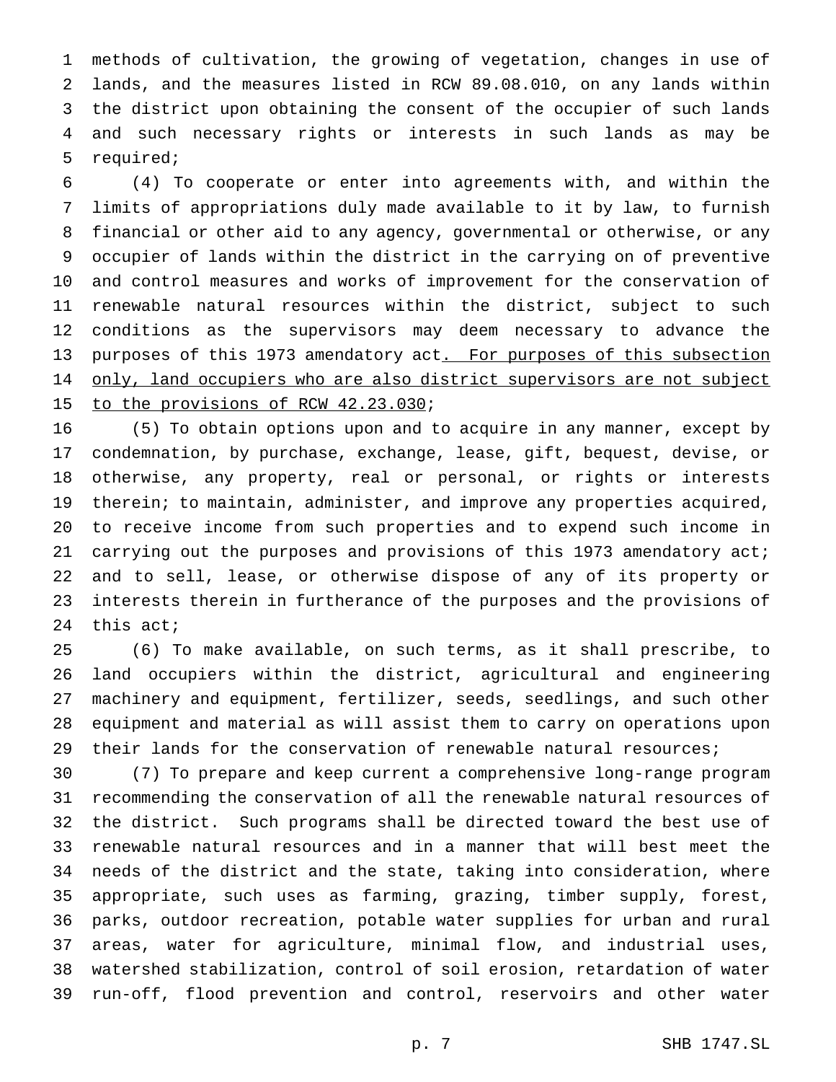methods of cultivation, the growing of vegetation, changes in use of lands, and the measures listed in RCW 89.08.010, on any lands within the district upon obtaining the consent of the occupier of such lands and such necessary rights or interests in such lands as may be required;

 (4) To cooperate or enter into agreements with, and within the limits of appropriations duly made available to it by law, to furnish financial or other aid to any agency, governmental or otherwise, or any occupier of lands within the district in the carrying on of preventive and control measures and works of improvement for the conservation of renewable natural resources within the district, subject to such conditions as the supervisors may deem necessary to advance the 13 purposes of this 1973 amendatory act. For purposes of this subsection 14 only, land occupiers who are also district supervisors are not subject 15 to the provisions of RCW 42.23.030;

 (5) To obtain options upon and to acquire in any manner, except by condemnation, by purchase, exchange, lease, gift, bequest, devise, or otherwise, any property, real or personal, or rights or interests therein; to maintain, administer, and improve any properties acquired, to receive income from such properties and to expend such income in carrying out the purposes and provisions of this 1973 amendatory act; and to sell, lease, or otherwise dispose of any of its property or interests therein in furtherance of the purposes and the provisions of this act;

 (6) To make available, on such terms, as it shall prescribe, to land occupiers within the district, agricultural and engineering machinery and equipment, fertilizer, seeds, seedlings, and such other equipment and material as will assist them to carry on operations upon their lands for the conservation of renewable natural resources;

 (7) To prepare and keep current a comprehensive long-range program recommending the conservation of all the renewable natural resources of the district. Such programs shall be directed toward the best use of renewable natural resources and in a manner that will best meet the needs of the district and the state, taking into consideration, where appropriate, such uses as farming, grazing, timber supply, forest, parks, outdoor recreation, potable water supplies for urban and rural areas, water for agriculture, minimal flow, and industrial uses, watershed stabilization, control of soil erosion, retardation of water run-off, flood prevention and control, reservoirs and other water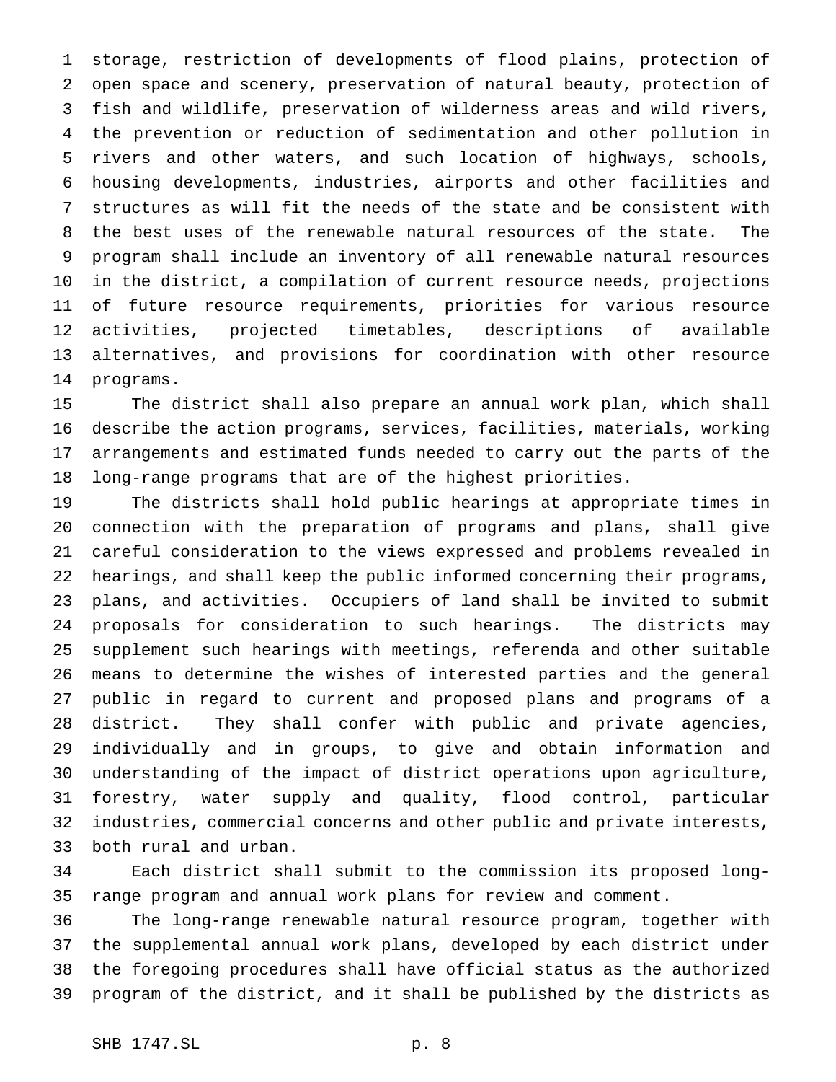storage, restriction of developments of flood plains, protection of open space and scenery, preservation of natural beauty, protection of fish and wildlife, preservation of wilderness areas and wild rivers, the prevention or reduction of sedimentation and other pollution in rivers and other waters, and such location of highways, schools, housing developments, industries, airports and other facilities and structures as will fit the needs of the state and be consistent with the best uses of the renewable natural resources of the state. The program shall include an inventory of all renewable natural resources in the district, a compilation of current resource needs, projections of future resource requirements, priorities for various resource activities, projected timetables, descriptions of available alternatives, and provisions for coordination with other resource programs.

 The district shall also prepare an annual work plan, which shall describe the action programs, services, facilities, materials, working arrangements and estimated funds needed to carry out the parts of the long-range programs that are of the highest priorities.

 The districts shall hold public hearings at appropriate times in connection with the preparation of programs and plans, shall give careful consideration to the views expressed and problems revealed in hearings, and shall keep the public informed concerning their programs, plans, and activities. Occupiers of land shall be invited to submit proposals for consideration to such hearings. The districts may supplement such hearings with meetings, referenda and other suitable means to determine the wishes of interested parties and the general public in regard to current and proposed plans and programs of a district. They shall confer with public and private agencies, individually and in groups, to give and obtain information and understanding of the impact of district operations upon agriculture, forestry, water supply and quality, flood control, particular industries, commercial concerns and other public and private interests, both rural and urban.

 Each district shall submit to the commission its proposed long-range program and annual work plans for review and comment.

 The long-range renewable natural resource program, together with the supplemental annual work plans, developed by each district under the foregoing procedures shall have official status as the authorized program of the district, and it shall be published by the districts as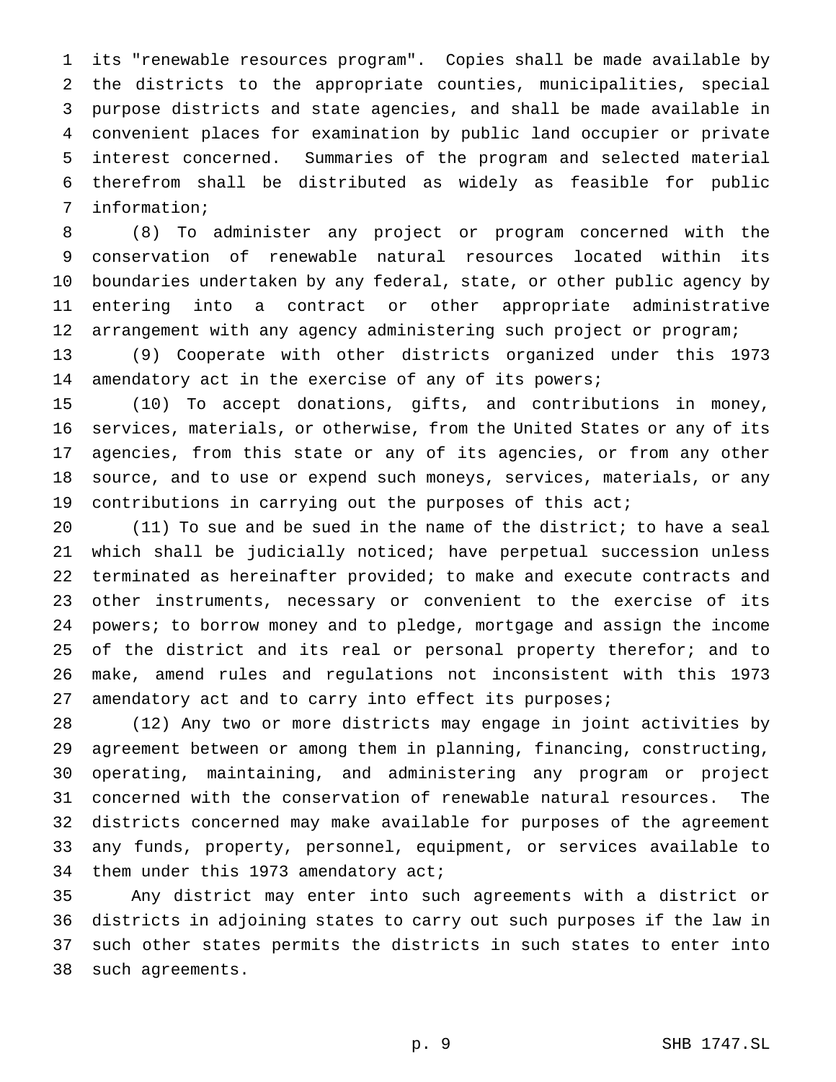its "renewable resources program". Copies shall be made available by the districts to the appropriate counties, municipalities, special purpose districts and state agencies, and shall be made available in convenient places for examination by public land occupier or private interest concerned. Summaries of the program and selected material therefrom shall be distributed as widely as feasible for public information;

 (8) To administer any project or program concerned with the conservation of renewable natural resources located within its boundaries undertaken by any federal, state, or other public agency by entering into a contract or other appropriate administrative arrangement with any agency administering such project or program;

 (9) Cooperate with other districts organized under this 1973 14 amendatory act in the exercise of any of its powers;

 (10) To accept donations, gifts, and contributions in money, services, materials, or otherwise, from the United States or any of its agencies, from this state or any of its agencies, or from any other source, and to use or expend such moneys, services, materials, or any contributions in carrying out the purposes of this act;

 (11) To sue and be sued in the name of the district; to have a seal which shall be judicially noticed; have perpetual succession unless terminated as hereinafter provided; to make and execute contracts and other instruments, necessary or convenient to the exercise of its powers; to borrow money and to pledge, mortgage and assign the income of the district and its real or personal property therefor; and to make, amend rules and regulations not inconsistent with this 1973 amendatory act and to carry into effect its purposes;

 (12) Any two or more districts may engage in joint activities by agreement between or among them in planning, financing, constructing, operating, maintaining, and administering any program or project concerned with the conservation of renewable natural resources. The districts concerned may make available for purposes of the agreement any funds, property, personnel, equipment, or services available to 34 them under this 1973 amendatory act;

 Any district may enter into such agreements with a district or districts in adjoining states to carry out such purposes if the law in such other states permits the districts in such states to enter into such agreements.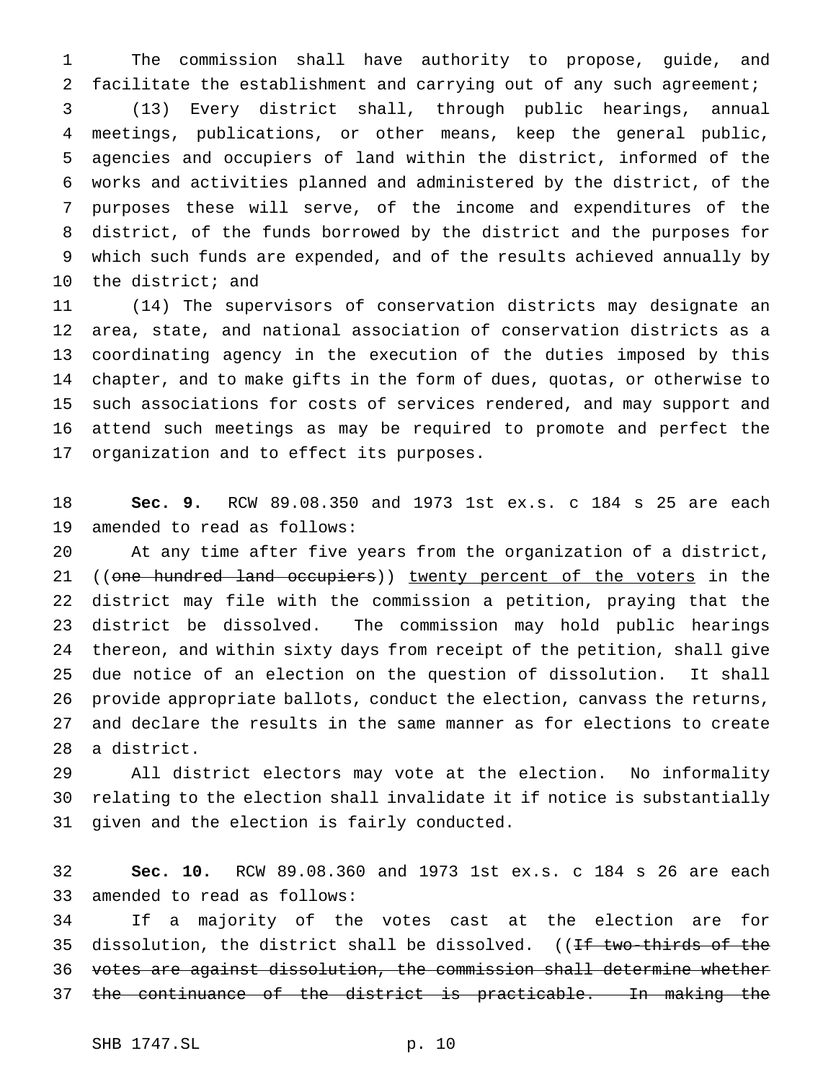The commission shall have authority to propose, guide, and facilitate the establishment and carrying out of any such agreement; (13) Every district shall, through public hearings, annual meetings, publications, or other means, keep the general public, agencies and occupiers of land within the district, informed of the works and activities planned and administered by the district, of the purposes these will serve, of the income and expenditures of the district, of the funds borrowed by the district and the purposes for which such funds are expended, and of the results achieved annually by the district; and

 (14) The supervisors of conservation districts may designate an area, state, and national association of conservation districts as a coordinating agency in the execution of the duties imposed by this chapter, and to make gifts in the form of dues, quotas, or otherwise to such associations for costs of services rendered, and may support and attend such meetings as may be required to promote and perfect the organization and to effect its purposes.

 **Sec. 9.** RCW 89.08.350 and 1973 1st ex.s. c 184 s 25 are each amended to read as follows:

 At any time after five years from the organization of a district, 21 ((one hundred land occupiers)) twenty percent of the voters in the district may file with the commission a petition, praying that the district be dissolved. The commission may hold public hearings thereon, and within sixty days from receipt of the petition, shall give due notice of an election on the question of dissolution. It shall provide appropriate ballots, conduct the election, canvass the returns, and declare the results in the same manner as for elections to create a district.

 All district electors may vote at the election. No informality relating to the election shall invalidate it if notice is substantially given and the election is fairly conducted.

 **Sec. 10.** RCW 89.08.360 and 1973 1st ex.s. c 184 s 26 are each amended to read as follows:

 If a majority of the votes cast at the election are for 35 dissolution, the district shall be dissolved. ((If two-thirds of the votes are against dissolution, the commission shall determine whether the continuance of the district is practicable. In making the